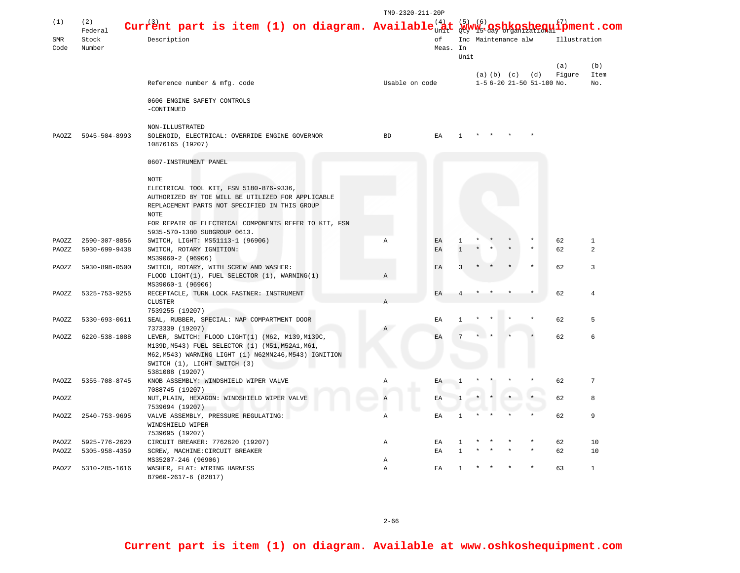|                |                |                                                                      | TM9-2320-211-20P |                            |                                     |  |  |              |                           |        |                |
|----------------|----------------|----------------------------------------------------------------------|------------------|----------------------------|-------------------------------------|--|--|--------------|---------------------------|--------|----------------|
| (1)            | (2)<br>Federal | Current part is item (1) on diagram. Available $_{\text{UnR}}^{(4)}$ |                  |                            | _(_6)<br>$\texttt{shequiform}$ .com |  |  |              |                           |        |                |
| SMR<br>Code    | Stock          | Description                                                          | оf<br>Meas. In   |                            | Inc Maintenance alw                 |  |  | Illustration |                           |        |                |
|                | Number         |                                                                      |                  |                            | Unit                                |  |  |              |                           |        |                |
|                |                |                                                                      |                  |                            |                                     |  |  |              |                           | (a)    | (b)            |
|                |                |                                                                      |                  |                            |                                     |  |  |              | (a) (b) (c) (d)           | Figure | Item           |
|                |                | Reference number & mfg. code                                         | Usable on code   |                            |                                     |  |  |              | 1-5 6-20 21-50 51-100 No. |        | No.            |
|                |                |                                                                      |                  |                            |                                     |  |  |              |                           |        |                |
|                |                | 0606-ENGINE SAFETY CONTROLS<br>-CONTINUED                            |                  |                            |                                     |  |  |              |                           |        |                |
|                |                | NON-ILLUSTRATED                                                      |                  |                            |                                     |  |  |              |                           |        |                |
| PAOZZ          | 5945-504-8993  | SOLENOID, ELECTRICAL: OVERRIDE ENGINE GOVERNOR                       | <b>BD</b>        | EA                         |                                     |  |  |              |                           |        |                |
|                |                | 10876165 (19207)                                                     |                  |                            |                                     |  |  |              |                           |        |                |
|                |                | 0607-INSTRUMENT PANEL                                                |                  |                            |                                     |  |  |              |                           |        |                |
|                |                | NOTE                                                                 |                  |                            |                                     |  |  |              |                           |        |                |
|                |                | ELECTRICAL TOOL KIT, FSN 5180-876-9336,                              |                  |                            |                                     |  |  |              |                           |        |                |
|                |                | AUTHORIZED BY TOE WILL BE UTILIZED FOR APPLICABLE                    |                  |                            |                                     |  |  |              |                           |        |                |
|                |                | REPLACEMENT PARTS NOT SPECIFIED IN THIS GROUP                        |                  |                            |                                     |  |  |              |                           |        |                |
|                |                | <b>NOTE</b>                                                          |                  |                            |                                     |  |  |              |                           |        |                |
|                |                | FOR REPAIR OF ELECTRICAL COMPONENTS REFER TO KIT, FSN                |                  |                            |                                     |  |  |              |                           |        |                |
|                |                | 5935-570-1380 SUBGROUP 0613.                                         |                  |                            |                                     |  |  |              |                           |        |                |
| PAOZZ          | 2590-307-8856  | SWITCH, LIGHT: MS51113-1 (96906)                                     | $\mathbb{A}$     | EA                         |                                     |  |  |              |                           | 62     | $\mathbf{1}$   |
| PAOZZ          | 5930-699-9438  | SWITCH, ROTARY IGNITION:                                             |                  | EA                         |                                     |  |  |              |                           | 62     | $\mathfrak{D}$ |
|                |                | MS39060-2 (96906)                                                    |                  |                            |                                     |  |  |              |                           |        |                |
| PAOZZ          | 5930-898-0500  | SWITCH, ROTARY, WITH SCREW AND WASHER:                               |                  | EA                         |                                     |  |  |              |                           | 62     | 3              |
|                |                | FLOOD LIGHT(1), FUEL SELECTOR (1), WARNING(1)                        | A                |                            |                                     |  |  |              |                           |        |                |
|                |                | MS39060-1 (96906)                                                    |                  |                            |                                     |  |  |              |                           |        | 4              |
| PAOZZ          | 5325-753-9255  | RECEPTACLE, TURN LOCK FASTNER: INSTRUMENT<br><b>CLUSTER</b>          | A                | EA                         |                                     |  |  |              |                           | 62     |                |
|                |                | 7539255 (19207)                                                      |                  |                            |                                     |  |  |              |                           |        |                |
| PAOZZ          | 5330-693-0611  | SEAL, RUBBER, SPECIAL: NAP COMPARTMENT DOOR                          |                  | EA                         |                                     |  |  |              |                           | 62     | 5              |
|                |                | 7373339 (19207)                                                      | $\mathbb{A}$     |                            |                                     |  |  |              |                           |        |                |
| PAOZZ          | 6220-538-1088  | LEVER, SWITCH: FLOOD LIGHT(1) (M62, M139, M139C,                     |                  | EA                         |                                     |  |  |              |                           | 62     | 6              |
|                |                | M139D, M543) FUEL SELECTOR (1) (M51, M52A1, M61,                     |                  |                            |                                     |  |  |              |                           |        |                |
|                |                | M62, M543) WARNING LIGHT (1) N62MN246, M543) IGNITION                |                  |                            |                                     |  |  |              |                           |        |                |
|                |                | SWITCH (1), LIGHT SWITCH (3)                                         |                  |                            |                                     |  |  |              |                           |        |                |
|                |                | 5381088 (19207)                                                      |                  |                            |                                     |  |  |              |                           |        |                |
| PAOZZ          | 5355-708-8745  | KNOB ASSEMBLY: WINDSHIELD WIPER VALVE                                | Α                | $\mathop{\rm EA}\nolimits$ | $\overline{1}$                      |  |  |              |                           | 62     | 7              |
|                |                | 7088745 (19207)                                                      |                  |                            |                                     |  |  |              |                           |        |                |
| PAOZZ          |                | NUT, PLAIN, HEXAGON: WINDSHIELD WIPER VALVE                          |                  | EA                         |                                     |  |  |              |                           | 62     | 8              |
|                |                | 7539694 (19207)                                                      |                  |                            |                                     |  |  |              |                           |        |                |
| PAOZZ          | 2540-753-9695  | VALVE ASSEMBLY, PRESSURE REGULATING:                                 | Α                | EA                         | $\mathbf{1}$                        |  |  |              |                           | 62     | 9              |
|                |                | WINDSHIELD WIPER                                                     |                  |                            |                                     |  |  |              |                           |        |                |
|                | 5925-776-2620  | 7539695 (19207)<br>CIRCUIT BREAKER: 7762620 (19207)                  |                  | EA                         |                                     |  |  |              |                           | 62     | 10             |
| PAOZZ<br>PAOZZ | 5305-958-4359  | SCREW, MACHINE: CIRCUIT BREAKER                                      | Α                | EA                         |                                     |  |  |              |                           | 62     | 10             |
|                |                | MS35207-246 (96906)                                                  | Α                |                            |                                     |  |  |              |                           |        |                |
| PAOZZ          | 5310-285-1616  | WASHER, FLAT: WIRING HARNESS                                         | $\mathbb{A}$     | EA                         |                                     |  |  |              |                           | 63     | $\mathbf{1}$   |
|                |                | B7960-2617-6 (82817)                                                 |                  |                            |                                     |  |  |              |                           |        |                |

2-66

**Current part is item (1) on diagram. Available at www.oshkoshequipment.com**